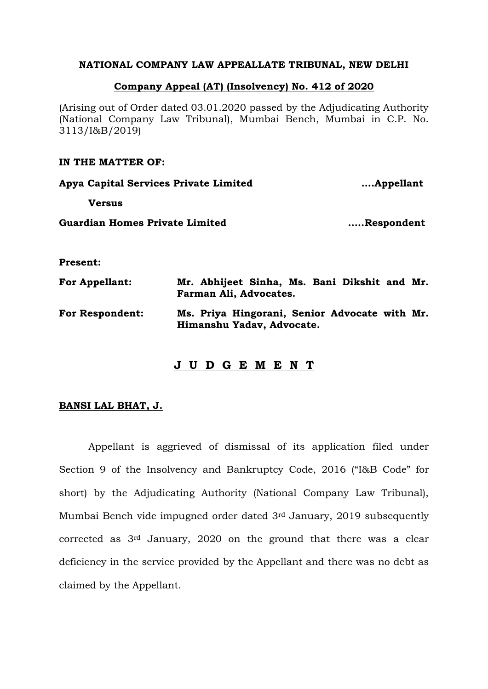### **NATIONAL COMPANY LAW APPEALLATE TRIBUNAL, NEW DELHI**

### **Company Appeal (AT) (Insolvency) No. 412 of 2020**

(Arising out of Order dated 03.01.2020 passed by the Adjudicating Authority (National Company Law Tribunal), Mumbai Bench, Mumbai in C.P. No. 3113/I&B/2019)

### **IN THE MATTER OF:**

| Apya Capital Services Private Limited |                                                                        | Appellant  |  |
|---------------------------------------|------------------------------------------------------------------------|------------|--|
| Versus                                |                                                                        |            |  |
| <b>Guardian Homes Private Limited</b> |                                                                        | Respondent |  |
| <b>Present:</b>                       |                                                                        |            |  |
| <b>For Appellant:</b>                 | Mr. Abhijeet Sinha, Ms. Bani Dikshit and Mr.<br>Farman Ali, Advocates. |            |  |

**For Respondent: Ms. Priya Hingorani, Senior Advocate with Mr. Himanshu Yadav, Advocate.**

# **J U D G E M E N T**

## **BANSI LAL BHAT, J.**

Appellant is aggrieved of dismissal of its application filed under Section 9 of the Insolvency and Bankruptcy Code, 2016 ("I&B Code" for short) by the Adjudicating Authority (National Company Law Tribunal), Mumbai Bench vide impugned order dated 3rd January, 2019 subsequently corrected as 3rd January, 2020 on the ground that there was a clear deficiency in the service provided by the Appellant and there was no debt as claimed by the Appellant.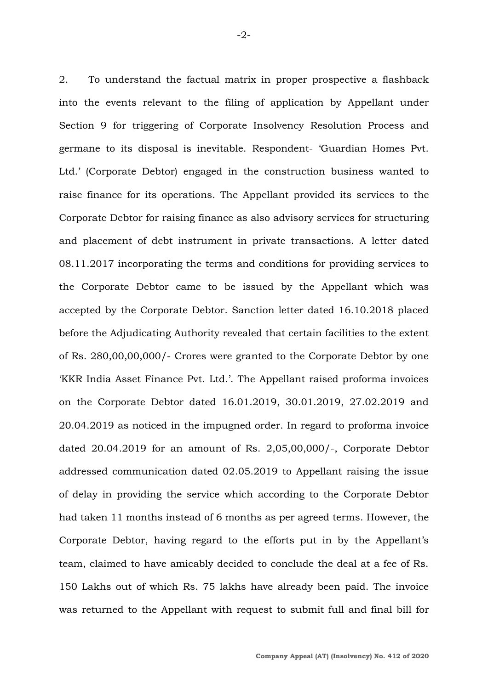2. To understand the factual matrix in proper prospective a flashback into the events relevant to the filing of application by Appellant under Section 9 for triggering of Corporate Insolvency Resolution Process and germane to its disposal is inevitable. Respondent- 'Guardian Homes Pvt. Ltd.' (Corporate Debtor) engaged in the construction business wanted to raise finance for its operations. The Appellant provided its services to the Corporate Debtor for raising finance as also advisory services for structuring and placement of debt instrument in private transactions. A letter dated 08.11.2017 incorporating the terms and conditions for providing services to the Corporate Debtor came to be issued by the Appellant which was accepted by the Corporate Debtor. Sanction letter dated 16.10.2018 placed before the Adjudicating Authority revealed that certain facilities to the extent of Rs. 280,00,00,000/- Crores were granted to the Corporate Debtor by one 'KKR India Asset Finance Pvt. Ltd.'. The Appellant raised proforma invoices on the Corporate Debtor dated 16.01.2019, 30.01.2019, 27.02.2019 and 20.04.2019 as noticed in the impugned order. In regard to proforma invoice dated 20.04.2019 for an amount of Rs. 2,05,00,000/-, Corporate Debtor addressed communication dated 02.05.2019 to Appellant raising the issue of delay in providing the service which according to the Corporate Debtor had taken 11 months instead of 6 months as per agreed terms. However, the Corporate Debtor, having regard to the efforts put in by the Appellant's team, claimed to have amicably decided to conclude the deal at a fee of Rs. 150 Lakhs out of which Rs. 75 lakhs have already been paid. The invoice was returned to the Appellant with request to submit full and final bill for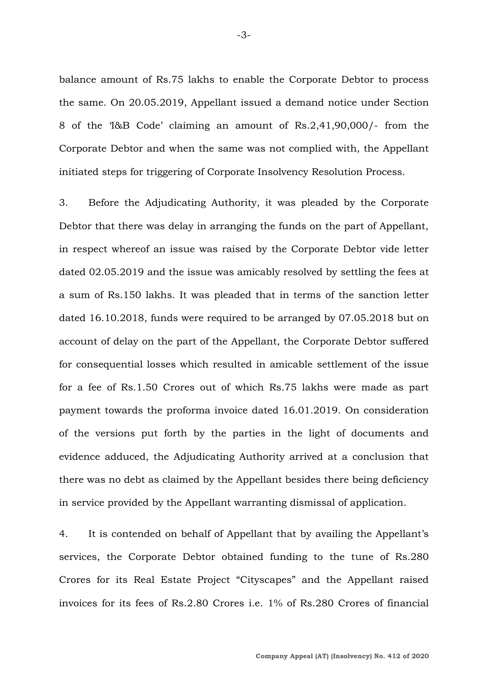balance amount of Rs.75 lakhs to enable the Corporate Debtor to process the same. On 20.05.2019, Appellant issued a demand notice under Section 8 of the 'I&B Code' claiming an amount of Rs.2,41,90,000/- from the Corporate Debtor and when the same was not complied with, the Appellant initiated steps for triggering of Corporate Insolvency Resolution Process.

3. Before the Adjudicating Authority, it was pleaded by the Corporate Debtor that there was delay in arranging the funds on the part of Appellant, in respect whereof an issue was raised by the Corporate Debtor vide letter dated 02.05.2019 and the issue was amicably resolved by settling the fees at a sum of Rs.150 lakhs. It was pleaded that in terms of the sanction letter dated 16.10.2018, funds were required to be arranged by 07.05.2018 but on account of delay on the part of the Appellant, the Corporate Debtor suffered for consequential losses which resulted in amicable settlement of the issue for a fee of Rs.1.50 Crores out of which Rs.75 lakhs were made as part payment towards the proforma invoice dated 16.01.2019. On consideration of the versions put forth by the parties in the light of documents and evidence adduced, the Adjudicating Authority arrived at a conclusion that there was no debt as claimed by the Appellant besides there being deficiency in service provided by the Appellant warranting dismissal of application.

4. It is contended on behalf of Appellant that by availing the Appellant's services, the Corporate Debtor obtained funding to the tune of Rs.280 Crores for its Real Estate Project "Cityscapes" and the Appellant raised invoices for its fees of Rs.2.80 Crores i.e. 1% of Rs.280 Crores of financial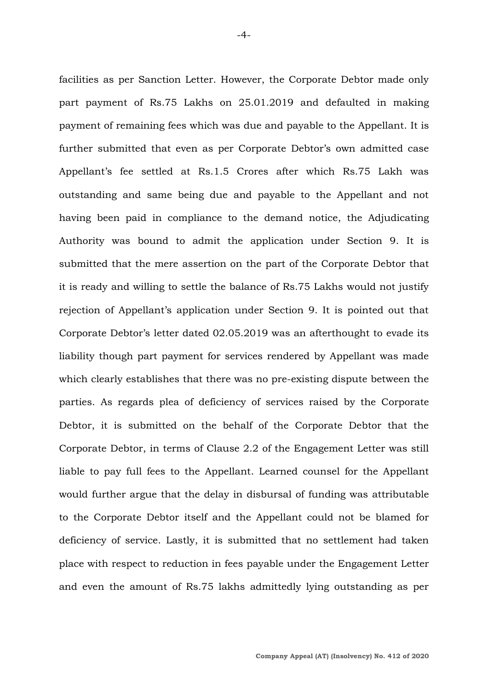facilities as per Sanction Letter. However, the Corporate Debtor made only part payment of Rs.75 Lakhs on 25.01.2019 and defaulted in making payment of remaining fees which was due and payable to the Appellant. It is further submitted that even as per Corporate Debtor's own admitted case Appellant's fee settled at Rs.1.5 Crores after which Rs.75 Lakh was outstanding and same being due and payable to the Appellant and not having been paid in compliance to the demand notice, the Adjudicating Authority was bound to admit the application under Section 9. It is submitted that the mere assertion on the part of the Corporate Debtor that it is ready and willing to settle the balance of Rs.75 Lakhs would not justify rejection of Appellant's application under Section 9. It is pointed out that Corporate Debtor's letter dated 02.05.2019 was an afterthought to evade its liability though part payment for services rendered by Appellant was made which clearly establishes that there was no pre-existing dispute between the parties. As regards plea of deficiency of services raised by the Corporate Debtor, it is submitted on the behalf of the Corporate Debtor that the Corporate Debtor, in terms of Clause 2.2 of the Engagement Letter was still liable to pay full fees to the Appellant. Learned counsel for the Appellant would further argue that the delay in disbursal of funding was attributable to the Corporate Debtor itself and the Appellant could not be blamed for deficiency of service. Lastly, it is submitted that no settlement had taken place with respect to reduction in fees payable under the Engagement Letter and even the amount of Rs.75 lakhs admittedly lying outstanding as per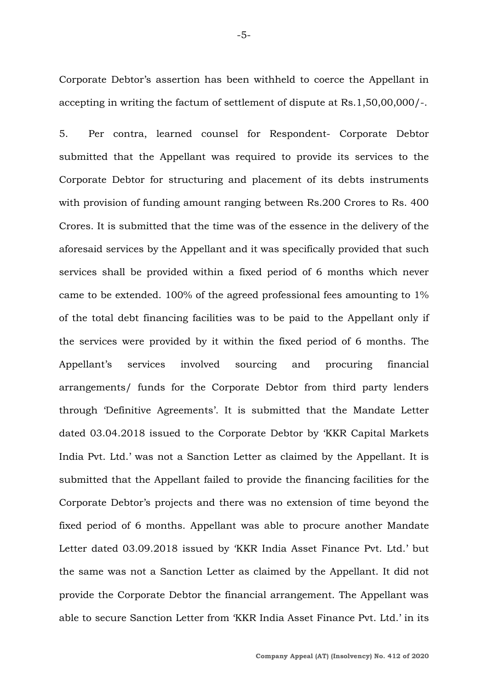Corporate Debtor's assertion has been withheld to coerce the Appellant in accepting in writing the factum of settlement of dispute at Rs.1,50,00,000/-.

5. Per contra, learned counsel for Respondent- Corporate Debtor submitted that the Appellant was required to provide its services to the Corporate Debtor for structuring and placement of its debts instruments with provision of funding amount ranging between Rs.200 Crores to Rs. 400 Crores. It is submitted that the time was of the essence in the delivery of the aforesaid services by the Appellant and it was specifically provided that such services shall be provided within a fixed period of 6 months which never came to be extended. 100% of the agreed professional fees amounting to 1% of the total debt financing facilities was to be paid to the Appellant only if the services were provided by it within the fixed period of 6 months. The Appellant's services involved sourcing and procuring financial arrangements/ funds for the Corporate Debtor from third party lenders through 'Definitive Agreements'. It is submitted that the Mandate Letter dated 03.04.2018 issued to the Corporate Debtor by 'KKR Capital Markets India Pvt. Ltd.' was not a Sanction Letter as claimed by the Appellant. It is submitted that the Appellant failed to provide the financing facilities for the Corporate Debtor's projects and there was no extension of time beyond the fixed period of 6 months. Appellant was able to procure another Mandate Letter dated 03.09.2018 issued by 'KKR India Asset Finance Pvt. Ltd.' but the same was not a Sanction Letter as claimed by the Appellant. It did not provide the Corporate Debtor the financial arrangement. The Appellant was able to secure Sanction Letter from 'KKR India Asset Finance Pvt. Ltd.' in its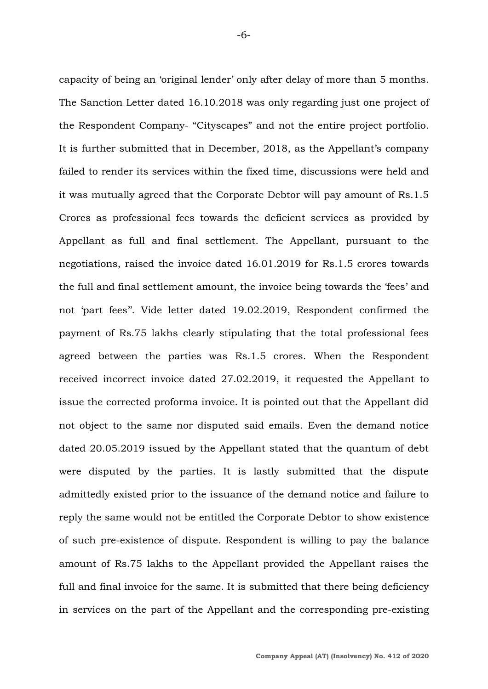capacity of being an 'original lender' only after delay of more than 5 months. The Sanction Letter dated 16.10.2018 was only regarding just one project of the Respondent Company- "Cityscapes" and not the entire project portfolio. It is further submitted that in December, 2018, as the Appellant's company failed to render its services within the fixed time, discussions were held and it was mutually agreed that the Corporate Debtor will pay amount of Rs.1.5 Crores as professional fees towards the deficient services as provided by Appellant as full and final settlement. The Appellant, pursuant to the negotiations, raised the invoice dated 16.01.2019 for Rs.1.5 crores towards the full and final settlement amount, the invoice being towards the 'fees' and not 'part fees''. Vide letter dated 19.02.2019, Respondent confirmed the payment of Rs.75 lakhs clearly stipulating that the total professional fees agreed between the parties was Rs.1.5 crores. When the Respondent received incorrect invoice dated 27.02.2019, it requested the Appellant to issue the corrected proforma invoice. It is pointed out that the Appellant did not object to the same nor disputed said emails. Even the demand notice dated 20.05.2019 issued by the Appellant stated that the quantum of debt were disputed by the parties. It is lastly submitted that the dispute admittedly existed prior to the issuance of the demand notice and failure to reply the same would not be entitled the Corporate Debtor to show existence of such pre-existence of dispute. Respondent is willing to pay the balance amount of Rs.75 lakhs to the Appellant provided the Appellant raises the full and final invoice for the same. It is submitted that there being deficiency in services on the part of the Appellant and the corresponding pre-existing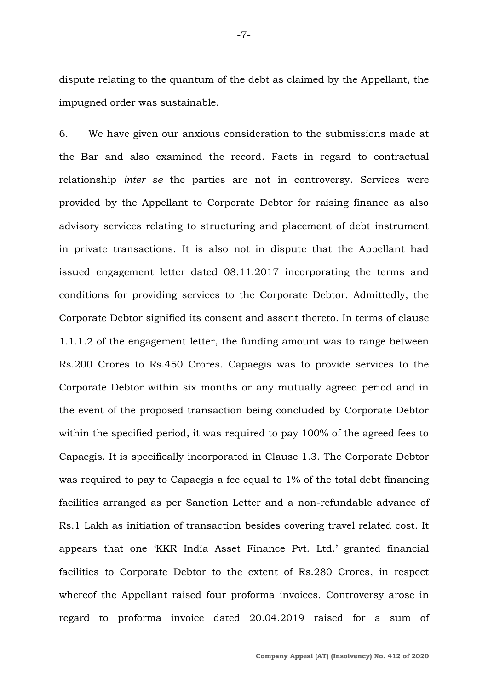dispute relating to the quantum of the debt as claimed by the Appellant, the impugned order was sustainable.

6. We have given our anxious consideration to the submissions made at the Bar and also examined the record. Facts in regard to contractual relationship *inter se* the parties are not in controversy. Services were provided by the Appellant to Corporate Debtor for raising finance as also advisory services relating to structuring and placement of debt instrument in private transactions. It is also not in dispute that the Appellant had issued engagement letter dated 08.11.2017 incorporating the terms and conditions for providing services to the Corporate Debtor. Admittedly, the Corporate Debtor signified its consent and assent thereto. In terms of clause 1.1.1.2 of the engagement letter, the funding amount was to range between Rs.200 Crores to Rs.450 Crores. Capaegis was to provide services to the Corporate Debtor within six months or any mutually agreed period and in the event of the proposed transaction being concluded by Corporate Debtor within the specified period, it was required to pay 100% of the agreed fees to Capaegis. It is specifically incorporated in Clause 1.3. The Corporate Debtor was required to pay to Capaegis a fee equal to 1% of the total debt financing facilities arranged as per Sanction Letter and a non-refundable advance of Rs.1 Lakh as initiation of transaction besides covering travel related cost. It appears that one 'KKR India Asset Finance Pvt. Ltd.' granted financial facilities to Corporate Debtor to the extent of Rs.280 Crores, in respect whereof the Appellant raised four proforma invoices. Controversy arose in regard to proforma invoice dated 20.04.2019 raised for a sum of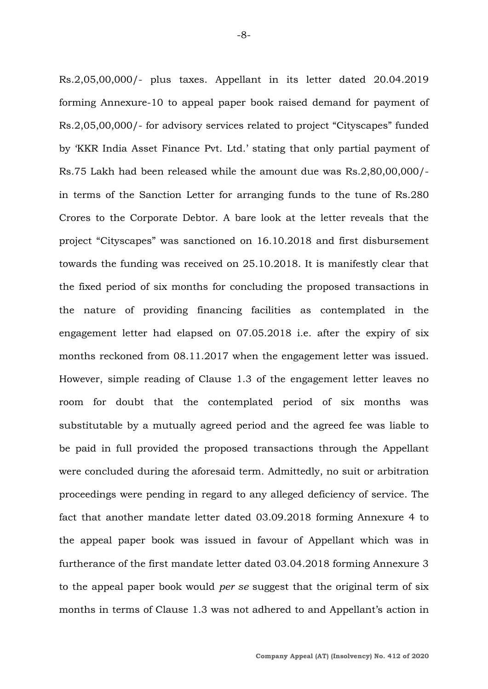Rs.2,05,00,000/- plus taxes. Appellant in its letter dated 20.04.2019 forming Annexure-10 to appeal paper book raised demand for payment of Rs.2,05,00,000/- for advisory services related to project "Cityscapes" funded by 'KKR India Asset Finance Pvt. Ltd.' stating that only partial payment of Rs.75 Lakh had been released while the amount due was Rs.2,80,00,000/ in terms of the Sanction Letter for arranging funds to the tune of Rs.280 Crores to the Corporate Debtor. A bare look at the letter reveals that the project "Cityscapes" was sanctioned on 16.10.2018 and first disbursement towards the funding was received on 25.10.2018. It is manifestly clear that the fixed period of six months for concluding the proposed transactions in the nature of providing financing facilities as contemplated in the engagement letter had elapsed on 07.05.2018 i.e. after the expiry of six months reckoned from 08.11.2017 when the engagement letter was issued. However, simple reading of Clause 1.3 of the engagement letter leaves no room for doubt that the contemplated period of six months was substitutable by a mutually agreed period and the agreed fee was liable to be paid in full provided the proposed transactions through the Appellant were concluded during the aforesaid term. Admittedly, no suit or arbitration proceedings were pending in regard to any alleged deficiency of service. The fact that another mandate letter dated 03.09.2018 forming Annexure 4 to the appeal paper book was issued in favour of Appellant which was in furtherance of the first mandate letter dated 03.04.2018 forming Annexure 3 to the appeal paper book would *per se* suggest that the original term of six months in terms of Clause 1.3 was not adhered to and Appellant's action in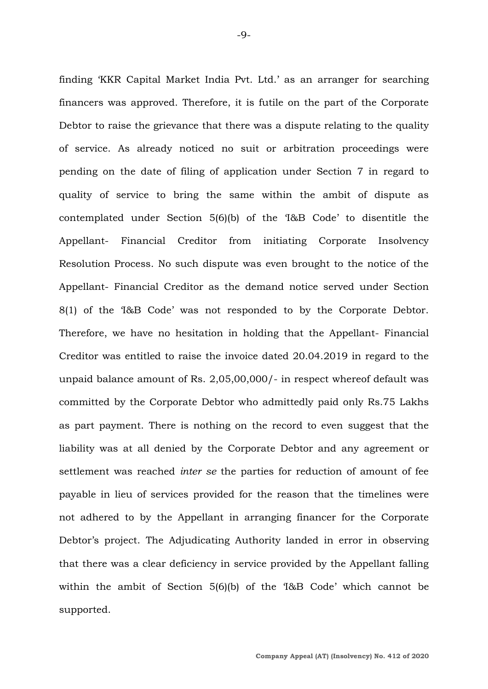finding 'KKR Capital Market India Pvt. Ltd.' as an arranger for searching financers was approved. Therefore, it is futile on the part of the Corporate Debtor to raise the grievance that there was a dispute relating to the quality of service. As already noticed no suit or arbitration proceedings were pending on the date of filing of application under Section 7 in regard to quality of service to bring the same within the ambit of dispute as contemplated under Section 5(6)(b) of the 'I&B Code' to disentitle the Appellant- Financial Creditor from initiating Corporate Insolvency Resolution Process. No such dispute was even brought to the notice of the Appellant- Financial Creditor as the demand notice served under Section 8(1) of the 'I&B Code' was not responded to by the Corporate Debtor. Therefore, we have no hesitation in holding that the Appellant- Financial Creditor was entitled to raise the invoice dated 20.04.2019 in regard to the unpaid balance amount of Rs. 2,05,00,000/- in respect whereof default was committed by the Corporate Debtor who admittedly paid only Rs.75 Lakhs as part payment. There is nothing on the record to even suggest that the liability was at all denied by the Corporate Debtor and any agreement or settlement was reached *inter se* the parties for reduction of amount of fee payable in lieu of services provided for the reason that the timelines were not adhered to by the Appellant in arranging financer for the Corporate Debtor's project. The Adjudicating Authority landed in error in observing that there was a clear deficiency in service provided by the Appellant falling within the ambit of Section 5(6)(b) of the 'I&B Code' which cannot be supported.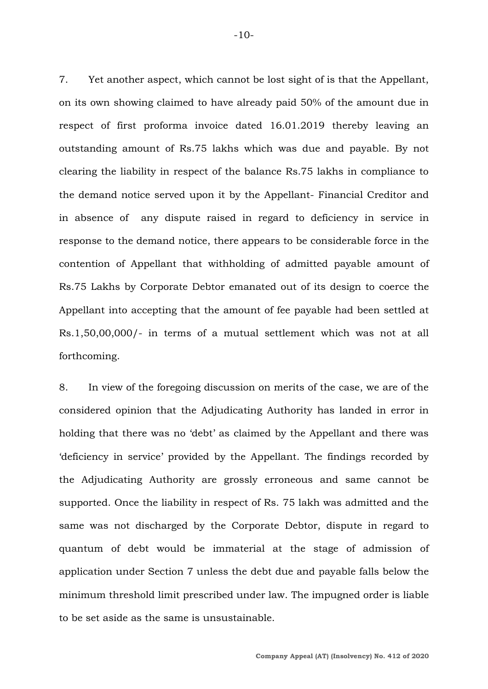7. Yet another aspect, which cannot be lost sight of is that the Appellant, on its own showing claimed to have already paid 50% of the amount due in respect of first proforma invoice dated 16.01.2019 thereby leaving an outstanding amount of Rs.75 lakhs which was due and payable. By not clearing the liability in respect of the balance Rs.75 lakhs in compliance to the demand notice served upon it by the Appellant- Financial Creditor and in absence of any dispute raised in regard to deficiency in service in response to the demand notice, there appears to be considerable force in the contention of Appellant that withholding of admitted payable amount of Rs.75 Lakhs by Corporate Debtor emanated out of its design to coerce the Appellant into accepting that the amount of fee payable had been settled at Rs.1,50,00,000/- in terms of a mutual settlement which was not at all forthcoming.

8. In view of the foregoing discussion on merits of the case, we are of the considered opinion that the Adjudicating Authority has landed in error in holding that there was no 'debt' as claimed by the Appellant and there was 'deficiency in service' provided by the Appellant. The findings recorded by the Adjudicating Authority are grossly erroneous and same cannot be supported. Once the liability in respect of Rs. 75 lakh was admitted and the same was not discharged by the Corporate Debtor, dispute in regard to quantum of debt would be immaterial at the stage of admission of application under Section 7 unless the debt due and payable falls below the minimum threshold limit prescribed under law. The impugned order is liable to be set aside as the same is unsustainable.